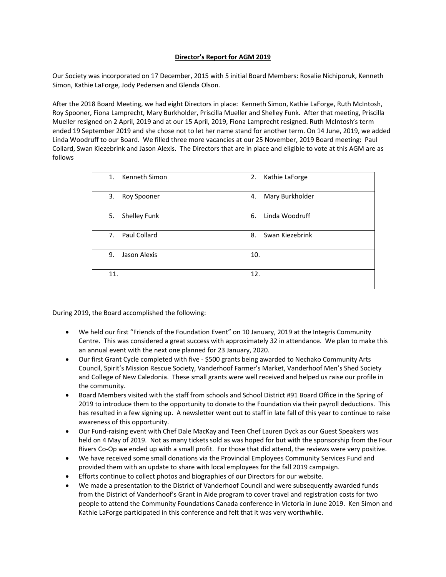## **Director's Report for AGM 2019**

Our Society was incorporated on 17 December, 2015 with 5 initial Board Members: Rosalie Nichiporuk, Kenneth Simon, Kathie LaForge, Jody Pedersen and Glenda Olson.

After the 2018 Board Meeting, we had eight Directors in place: Kenneth Simon, Kathie LaForge, Ruth McIntosh, Roy Spooner, Fiona Lamprecht, Mary Burkholder, Priscilla Mueller and Shelley Funk. After that meeting, Priscilla Mueller resigned on 2 April, 2019 and at our 15 April, 2019, Fiona Lamprecht resigned. Ruth McIntosh's term ended 19 September 2019 and she chose not to let her name stand for another term. On 14 June, 2019, we added Linda Woodruff to our Board. We filled three more vacancies at our 25 November, 2019 Board meeting: Paul Collard, Swan Kiezebrink and Jason Alexis. The Directors that are in place and eligible to vote at this AGM are as follows

| 1. Kenneth Simon   | 2.<br>Kathie LaForge  |
|--------------------|-----------------------|
| 3.<br>Roy Spooner  | Mary Burkholder<br>4. |
| Shelley Funk<br>5. | Linda Woodruff<br>6.  |
| 7. Paul Collard    | Swan Kiezebrink<br>8. |
| Jason Alexis<br>9. | 10.                   |
| 11.                | 12.                   |

During 2019, the Board accomplished the following:

- We held our first "Friends of the Foundation Event" on 10 January, 2019 at the Integris Community Centre. This was considered a great success with approximately 32 in attendance. We plan to make this an annual event with the next one planned for 23 January, 2020.
- Our first Grant Cycle completed with five \$500 grants being awarded to Nechako Community Arts Council, Spirit's Mission Rescue Society, Vanderhoof Farmer's Market, Vanderhoof Men's Shed Society and College of New Caledonia. These small grants were well received and helped us raise our profile in the community.
- Board Members visited with the staff from schools and School District #91 Board Office in the Spring of 2019 to introduce them to the opportunity to donate to the Foundation via their payroll deductions. This has resulted in a few signing up. A newsletter went out to staff in late fall of this year to continue to raise awareness of this opportunity.
- Our Fund-raising event with Chef Dale MacKay and Teen Chef Lauren Dyck as our Guest Speakers was held on 4 May of 2019. Not as many tickets sold as was hoped for but with the sponsorship from the Four Rivers Co-Op we ended up with a small profit. For those that did attend, the reviews were very positive.
- We have received some small donations via the Provincial Employees Community Services Fund and provided them with an update to share with local employees for the fall 2019 campaign.
- Efforts continue to collect photos and biographies of our Directors for our website.
- We made a presentation to the District of Vanderhoof Council and were subsequently awarded funds from the District of Vanderhoof's Grant in Aide program to cover travel and registration costs for two people to attend the Community Foundations Canada conference in Victoria in June 2019. Ken Simon and Kathie LaForge participated in this conference and felt that it was very worthwhile.